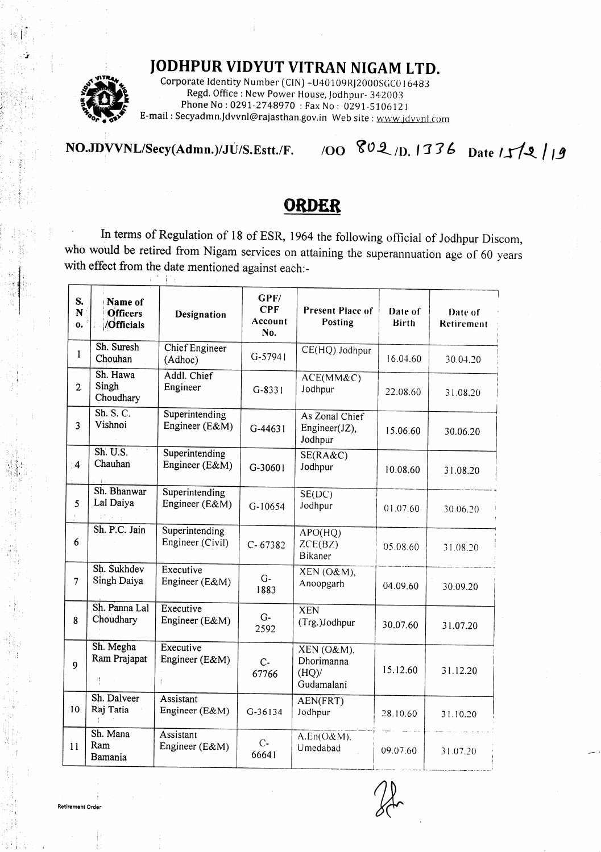## JODHPUR VIDYUT VITRAN NIGAM LTD.



.i

 $\cdot$  i, i,

rl :' irt

 $\mathbb{R}^2$ !:,

 $\mathbb{C}^1_{\mathbb{R}^2}$  $, \cdot$ :,i l',  $\#$ iji ,:

Regd. Office : New Power House, Jodhpur- 342003<br>Phone No : 0291-2748970 : Fax No : 0291-5106121 Corporate Identity Number (CIN) - U40109RJ2000SGC016483 E-mail: Secyadmn.Jdvvnl@rajasthan.gov.in Web site: www.jdvvnl.com

NO.JDVVNL/Secy(Admn.)/JU/S.Estt./F. /OO 802 /D. 1336 Date  $112$  | 9

## ORDER

In terms of Regulation of 18 of ESR, 1964 the following official of Jodhpur Discom, who would be retired from Nigam services on attaining the superannuation age of 60 years with effect from the date mentioned against each:- **I** Mar

| S.<br>N.<br>о. | Name of<br><b>Officers</b><br>/Officials | <b>Designation</b>                 | ${\bf G} {\bf P} {\bf F} /$<br><b>CPF</b><br>Account<br>No. | Present Place of<br>Posting                      | Date of<br><b>Birth</b> | Date of<br>Retirement |
|----------------|------------------------------------------|------------------------------------|-------------------------------------------------------------|--------------------------------------------------|-------------------------|-----------------------|
| $\mathbf{1}$   | Sh. Suresh<br>Chouhan                    | Chief Engineer<br>(Adhoc)          | $G-57941$                                                   | CE(HQ) Jodhpur                                   | 16.04.60                | 30.04.20              |
| $\overline{2}$ | Sh. Hawa<br>Singh<br>Choudhary           | Addl. Chief<br>Engineer            | $G-8331$                                                    | ACE(MM&C)<br>Jodhpur                             | 22.08.60                | 31.08.20              |
| 3              | Sh. S. C.<br>Vishnoi                     | Superintending<br>Engineer (E&M)   | $G-44631$                                                   | As Zonal Chief<br>Engineer(JZ),<br>Jodhpur       | 15.06.60                | 30.06.20              |
| $\overline{4}$ | Sh. U.S.<br>Chauhan                      | Superintending<br>Engineer (E&M)   | G-30601                                                     | SE(RA&C)<br>Jodhpur                              | 10.08.60                | 31.08.20              |
| 5              | Sh. Bhanwar<br>Lal Daiya<br>Albert Bar   | Superintending<br>Engineer (E&M)   | G-10654                                                     | SE(DC)<br>Jodhpur                                | 01.07.60                | 30.06.20              |
| 6              | Sh. P.C. Jain                            | Superintending<br>Engineer (Civil) | $C - 67382$                                                 | APO(HQ)<br>ZCE(BZ)<br><b>Bikaner</b>             | 05.08.60                | 31.08.20              |
| $\overline{7}$ | Sh. Sukhdev<br>Singh Daiya               | Executive<br>Engineer (E&M)        | $G-$<br>1883                                                | XEN(O&M),<br>Anoopgarh                           | 04.09.60                | 30.09.20              |
| 8              | Sh. Panna Lal<br>Choudhary               | Executive<br>Engineer (E&M)        | $G-$<br>2592                                                | <b>XEN</b><br>(Trg.)Jodhpur                      | 30.07.60                | 31.07.20              |
| $\mathbf{9}$   | Sh. Megha<br>Ram Prajapat                | Executive<br>Engineer (E&M)        | $C-$<br>67766                                               | $XEN(O\&M),$<br>Dhorimanna<br>(HQ)<br>Gudamalani | 15.12.60                | 31.12.20              |
| 10             | Sh. Dalveer<br>Raj Tatia<br>÷            | Assistant<br>Engineer (E&M)        | G-36134                                                     | AEN(FRT)<br>Jodhpur                              | 28.10.60                | 31.10.20              |
| 11             | Sh. Mana<br>Ram<br>Bamania               | Assistant<br>Engineer (E&M)        | $C -$<br>66641                                              | A.En(O&M),<br>Umedabad                           | 09.07.60                | 31.07.20              |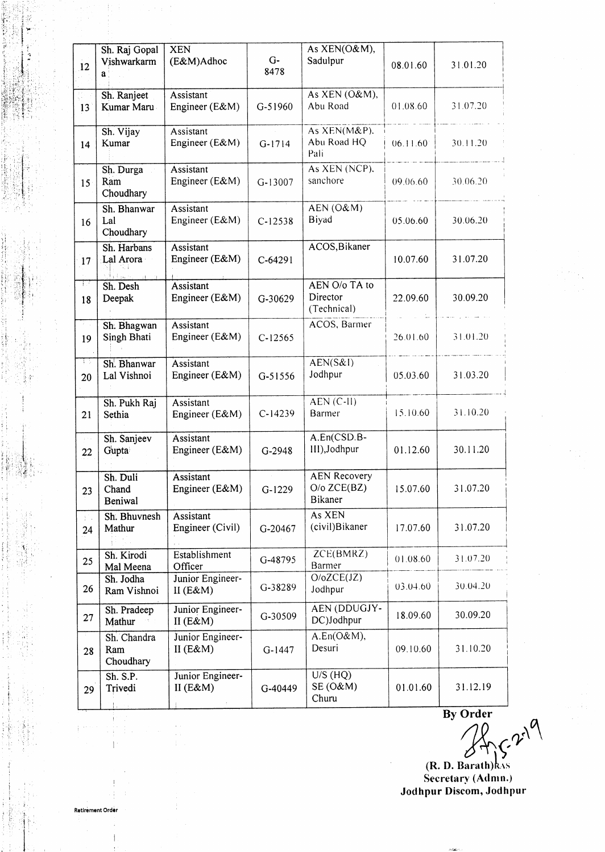| 12                  | Sh. Raj Gopal<br>Vishwarkarm<br>a        | <b>XEN</b><br>(E&M)Adhoc        | $G-$<br>8478 | As XEN(O&M),<br>Sadulpur                                  | 08.01.60 | 31.01.20 |
|---------------------|------------------------------------------|---------------------------------|--------------|-----------------------------------------------------------|----------|----------|
| 13                  | Sh. Ranjeet<br>Kumar Maru                | Assistant<br>Engineer (E&M)     | G-51960      | As XEN (O&M),<br>Abu Road                                 | 01.08.60 | 31.07.20 |
| 14                  | Sh. Vijay<br>Kumar                       | Assistant<br>Engineer (E&M)     | $G-1714$     | As XEN(M&P).<br>Abu Road HQ<br>Pali                       | 06.11.60 | 30.11.20 |
| 15                  | Sh. Durga<br>Ram<br>Choudhary            | Assistant<br>Engineer (E&M)     | $G-13007$    | As XEN (NCP).<br>sanchore                                 | 09.06.60 | 30.06.20 |
| 16                  | Sh. Bhanwar<br>Lal<br>Choudhary          | Assistant<br>Engineer (E&M)     | $C-12538$    | AEN (O&M)<br>Biyad                                        | 05.06.60 | 30.06.20 |
| 17                  | Sh. Harbans<br>Lal Arora<br>Slutave, and | Assistant<br>Engineer (E&M)     | $C-64291$    | ACOS, Bikaner                                             | 10.07.60 | 31.07.20 |
| 37<br>18            | Sh. Desh<br>Deepak                       | Assistant<br>Engineer (E&M)     | G-30629      | AEN O/o TA to<br>Director<br>(Technical)                  | 22.09.60 | 30.09.20 |
| žΞ,<br>19           | Sh. Bhagwan<br>Singh Bhati               | Assistant<br>Engineer (E&M)     | $C-12565$    | ACOS, Barmer                                              | 26.01.60 | 31.01.20 |
| W.<br>20            | Sh. Bhanwar<br>Lal Vishnoi               | Assistant<br>Engineer (E&M)     | $G - 51556$  | AEN(S&I)<br>Jodhpur                                       | 05.03.60 | 31.03.20 |
| 21                  | Sh. Pukh Raj<br>Sethia                   | Assistant<br>Engineer (E&M)     | $C-14239$    | $AEN (C-II)$<br>Barmer                                    | 15.10.60 | 31.10.20 |
| $\pm$ 1 $\pm$<br>22 | Sh. Sanjeev<br>Gupta                     | Assistant<br>Engineer (E&M)     | G-2948       | A.En(CSD.B-<br>III), Jodhpur                              | 01.12.60 | 30.11.20 |
| 23                  | Sh. Duli<br>Chand<br>Beniwal             | Assistant<br>Engineer (E&M)     | $G-1229$     | <b>AEN Recovery</b><br>$O/O$ ZCE $(BZ)$<br><b>Bikaner</b> | 15.07.60 | 31.07.20 |
| 拉<br>24             | Sh. Bhuvnesh<br>Mathur                   | Assistant<br>Engineer (Civil)   | G-20467      | As XEN<br>(civil)Bikaner                                  | 17.07.60 | 31.07.20 |
| 25                  | Sh. Kirodi<br>Mal Meena                  | Establishment<br>Officer        | G-48795      | ZCE(BMRZ)<br>Barmer                                       | 01.08.60 | 31.07.20 |
| 26                  | Sh. Jodha<br>Ram Vishnoi                 | Junior Engineer-<br>II $(E\&M)$ | G-38289      | O/OZCE(JZ)<br>Jodhpur                                     | 03.04.60 | 30.04.20 |
| 27                  | Sh. Pradeep<br>Mathur                    | Junior Engineer-<br>II $(E\&M)$ | G-30509      | <b>AEN (DDUGJY-</b><br>DC)Jodhpur                         | 18.09.60 | 30.09.20 |
| 28                  | Sh. Chandra<br>Ram<br>Choudhary          | Junior Engineer-<br>II $(E&M)$  | $G-1447$     | A.En(O&M),<br>Desuri                                      | 09.10.60 | 31.10.20 |
| 29                  | $\overline{Sh. S.P.}$<br>Trivedi         | Junior Engineer-<br>II $(E&M)$  | G-40449      | $U/S$ (HQ)<br>SE (O&M)<br>Churu                           | 01.01.60 | 31.12.19 |

 $\frac{1}{\text{By Order}}$ 

Secretary (Admn.) Jodhpur Discom, JodhPur

I .i  $\mathbb{R}^{n+1}$  . 1:: :  $\sim$ ': : ,1,i. , :1, .l

"li . ii ii. . r'r : :'i,, ,,  $\mathbb{H}^1$  .  $t$ ;  $t$  ,  $t$  $: \mathbb{R}^n \setminus \mathbb{R}^n$  $\mathbb{R}^n$  :  $\mathbb{R}^n$  :  $\cdot$  :  $\cdot$  if  $\cdot$ ii' :l 'ir .:,; ..i rl

i t., i {il